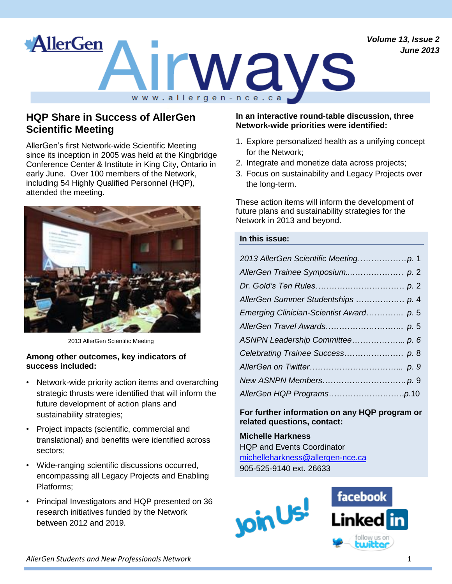*Volume 13, Issue 2 June 2013*



# **HQP Share in Success of AllerGen Scientific Meeting**

AllerGen's first Network-wide Scientific Meeting since its inception in 2005 was held at the Kingbridge Conference Center & Institute in King City, Ontario in early June. Over 100 members of the Network, including 54 Highly Qualified Personnel (HQP), attended the meeting.



2013 AllerGen Scientific Meeting

#### **Among other outcomes, key indicators of success included:**

- Network-wide priority action items and overarching strategic thrusts were identified that will inform the future development of action plans and sustainability strategies;
- Project impacts (scientific, commercial and translational) and benefits were identified across sectors;
- Wide-ranging scientific discussions occurred, encompassing all Legacy Projects and Enabling Platforms;
- Principal Investigators and HQP presented on 36 research initiatives funded by the Network between 2012 and 2019.

#### **In an interactive round-table discussion, three Network-wide priorities were identified:**

- 1. Explore personalized health as a unifying concept for the Network;
- 2. Integrate and monetize data across projects;
- 3. Focus on sustainability and Legacy Projects over the long-term.

These action items will inform the development of future plans and sustainability strategies for the Network in 2013 and beyond.

#### **In this issue:**

| Emerging Clinician-Scientist Award p. 5 |
|-----------------------------------------|
|                                         |
|                                         |
|                                         |
|                                         |
|                                         |
|                                         |

**For further information on any HQP program or related questions, contact:**

## **Michelle Harkness** HQP and Events Coordinator [michelleharkness@allergen-nce.ca](mailto:michelleharkness@allergen-nce.ca)

905-525-9140 ext. 26633



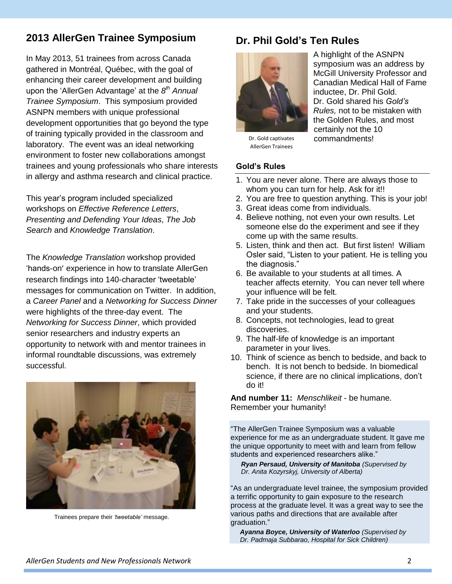# **2013 AllerGen Trainee Symposium**

In May 2013, 51 trainees from across Canada gathered in Montréal, Québec, with the goal of enhancing their career development and building upon the 'AllerGen Advantage' at the 8<sup>th</sup> Annual *Trainee Symposium*. This symposium provided ASNPN members with unique professional development opportunities that go beyond the type of training typically provided in the classroom and laboratory. The event was an ideal networking environment to foster new collaborations amongst trainees and young professionals who share interests in allergy and asthma research and clinical practice.

This year's program included specialized workshops on *Effective Reference Letters*, *Presenting and Defending Your Ideas*, *The Job Search* and *Knowledge Translation*.

The *Knowledge Translation* workshop provided 'hands-on' experience in how to translate AllerGen research findings into 140-character 'tweetable' messages for communication on Twitter. In addition, a *Career Panel* and a *Networking for Success Dinner* were highlights of the three-day event. The *Networking for Success Dinner*, which provided senior researchers and industry experts an opportunity to network with and mentor trainees in informal roundtable discussions, was extremely successful.



Trainees prepare their *'tweetable'* message.

# **Dr. Phil Gold's Ten Rules**



A highlight of the ASNPN symposium was an address by McGill University Professor and Canadian Medical Hall of Fame inductee, Dr. Phil Gold. Dr. Gold shared his *Gold's Rules,* not to be mistaken with the Golden Rules, and most certainly not the 10 commandments!

Dr. Gold captivates AllerGen Trainees

#### **Gold's Rules**

- 1. You are never alone. There are always those to whom you can turn for help. Ask for it!!
- 2. You are free to question anything. This is your job!
- 3. Great ideas come from individuals.
- 4. Believe nothing, not even your own results. Let someone else do the experiment and see if they come up with the same results.
- 5. Listen, think and then act. But first listen! William Osler said, "Listen to your patient. He is telling you the diagnosis."
- 6. Be available to your students at all times. A teacher affects eternity. You can never tell where your influence will be felt.
- 7. Take pride in the successes of your colleagues and your students.
- 8. Concepts, not technologies, lead to great discoveries.
- 9. The half-life of knowledge is an important parameter in your lives.
- 10. Think of science as bench to bedside, and back to bench. It is not bench to bedside. In biomedical science, if there are no clinical implications, don't do it!

**And number 11:** *Menschlikeit* - be humane. Remember your humanity!

"The AllerGen Trainee Symposium was a valuable experience for me as an undergraduate student. It gave me the unique opportunity to meet with and learn from fellow students and experienced researchers alike."

*Ryan Persaud, University of Manitoba (Supervised by Dr. Anita Kozyrskyj, University of Alberta)*

"As an undergraduate level trainee, the symposium provided a terrific opportunity to gain exposure to the research process at the graduate level. It was a great way to see the various paths and directions that are available after graduation."

 *Ayanna Boyce, University of Waterloo (Supervised by Dr. Padmaja Subbarao, Hospital for Sick Children)*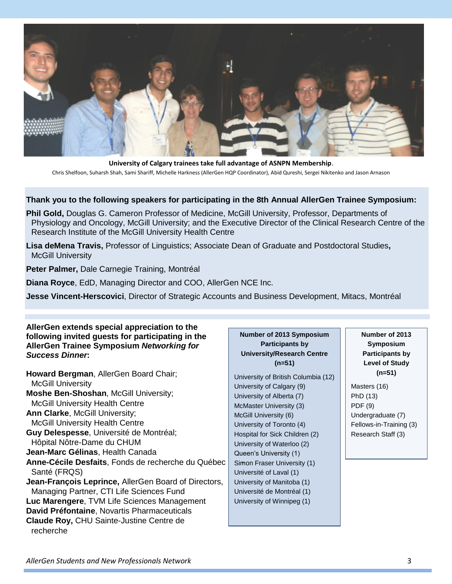

**University of Calgary trainees take full advantage of ASNPN Membership**. Chris Shelfoon, Suharsh Shah, Sami Shariff, Michelle Harkness (AllerGen HQP Coordinator), Abid Qureshi, Sergei Nikitenko and Jason Arnason

#### **Thank you to the following speakers for participating in the 8th Annual AllerGen Trainee Symposium:**

**Phil Gold,** Douglas G. Cameron Professor of Medicine, McGill University, Professor, Departments of Physiology and Oncology, McGill University; and the Executive Director of the Clinical Research Centre of the Research Institute of the McGill University Health Centre

**Lisa deMena Travis,** Professor of Linguistics; Associate Dean of Graduate and Postdoctoral Studies**,**  McGill University

**Peter Palmer,** Dale Carnegie Training, Montréal

**Diana Royce**, EdD, Managing Director and COO, AllerGen NCE Inc.

**Jesse Vincent-Herscovici**, Director of Strategic Accounts and Business Development, Mitacs, Montréal

#### **AllerGen extends special appreciation to the following invited guests for participating in the AllerGen Trainee Symposium** *Networking for Success Dinner***:**

**Howard Bergman**, AllerGen Board Chair; McGill University **Moshe Ben-Shoshan**, McGill University; McGill University Health Centre **Ann Clarke, McGill University;** McGill University Health Centre **Guy Delespesse**, Université de Montréal; Hôpital Nôtre-Dame du CHUM **Jean-Marc Gélinas**, Health Canada **Anne-Cécile Desfaits, Fonds de recherche du Québec** Santé (FRQS) **Jean-François Leprince,** AllerGen Board of Directors, Managing Partner, CTI Life Sciences Fund **Luc Marengere**, TVM Life Sciences Management **David Préfontaine**, Novartis Pharmaceuticals **Claude Roy,** CHU Sainte-Justine Centre de recherche

#### **Number of 2013 Symposium Participants by University/Research Centre (n=51)**

University of British Columbia (12) University of Calgary (9) University of Alberta (7) McMaster University (3) McGill University (6) University of Toronto (4) Hospital for Sick Children (2) University of Waterloo (2) Queen's University (1) Simon Fraser University (1) Université of Laval (1) University of Manitoba (1) Université de Montréal (1) University of Winnipeg (1)

#### **Number of 2013 Symposium Participants by Level of Study (n=51)**

Masters (16) PhD (13) PDF (9) Undergraduate (7) Fellows-in-Training (3) Research Staff (3)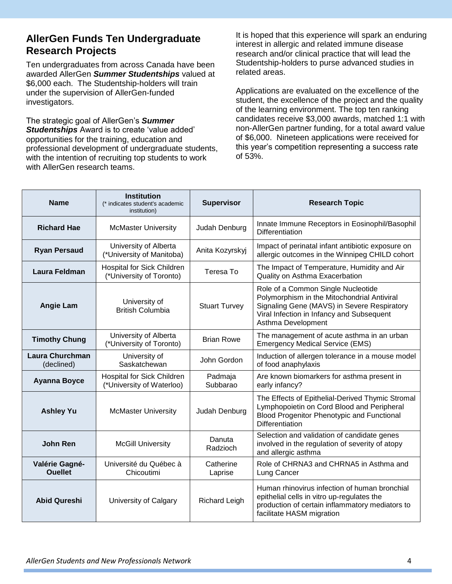## **AllerGen Funds Ten Undergraduate Research Projects**

Ten undergraduates from across Canada have been awarded AllerGen *Summer Studentships* valued at \$6,000 each. The Studentship-holders will train under the supervision of AllerGen-funded investigators.

The strategic goal of AllerGen's *Summer Studentships* Award is to create 'value added' opportunities for the training, education and professional development of undergraduate students, with the intention of recruiting top students to work with AllerGen research teams.

It is hoped that this experience will spark an enduring interest in allergic and related immune disease research and/or clinical practice that will lead the Studentship-holders to purse advanced studies in related areas.

Applications are evaluated on the excellence of the student, the excellence of the project and the quality of the learning environment. The top ten ranking candidates receive \$3,000 awards, matched 1:1 with non-AllerGen partner funding, for a total award value of \$6,000. Nineteen applications were received for this year's competition representing a success rate of 53%.

| <b>Name</b>                      | <b>Institution</b><br>(* indicates student's academic<br>institution) | <b>Supervisor</b>    | <b>Research Topic</b>                                                                                                                                                                               |
|----------------------------------|-----------------------------------------------------------------------|----------------------|-----------------------------------------------------------------------------------------------------------------------------------------------------------------------------------------------------|
| <b>Richard Hae</b>               | <b>McMaster University</b>                                            | Judah Denburg        | Innate Immune Receptors in Eosinophil/Basophil<br><b>Differentiation</b>                                                                                                                            |
| <b>Ryan Persaud</b>              | University of Alberta<br>(*University of Manitoba)                    | Anita Kozyrskyj      | Impact of perinatal infant antibiotic exposure on<br>allergic outcomes in the Winnipeg CHILD cohort                                                                                                 |
| Laura Feldman                    | <b>Hospital for Sick Children</b><br>(*University of Toronto)         | Teresa To            | The Impact of Temperature, Humidity and Air<br>Quality on Asthma Exacerbation                                                                                                                       |
| <b>Angie Lam</b>                 | University of<br><b>British Columbia</b>                              | <b>Stuart Turvey</b> | Role of a Common Single Nucleotide<br>Polymorphism in the Mitochondrial Antiviral<br>Signaling Gene (MAVS) in Severe Respiratory<br>Viral Infection in Infancy and Subsequent<br>Asthma Development |
| <b>Timothy Chung</b>             | University of Alberta<br>(*University of Toronto)                     | <b>Brian Rowe</b>    | The management of acute asthma in an urban<br><b>Emergency Medical Service (EMS)</b>                                                                                                                |
| Laura Churchman<br>(declined)    | University of<br>Saskatchewan                                         | John Gordon          | Induction of allergen tolerance in a mouse model<br>of food anaphylaxis                                                                                                                             |
| <b>Ayanna Boyce</b>              | <b>Hospital for Sick Children</b><br>(*University of Waterloo)        | Padmaja<br>Subbarao  | Are known biomarkers for asthma present in<br>early infancy?                                                                                                                                        |
| <b>Ashley Yu</b>                 | <b>McMaster University</b>                                            | Judah Denburg        | The Effects of Epithelial-Derived Thymic Stromal<br>Lymphopoietin on Cord Blood and Peripheral<br>Blood Progenitor Phenotypic and Functional<br><b>Differentiation</b>                              |
| <b>John Ren</b>                  | <b>McGill University</b>                                              | Danuta<br>Radzioch   | Selection and validation of candidate genes<br>involved in the regulation of severity of atopy<br>and allergic asthma                                                                               |
| Valérie Gagné-<br><b>Ouellet</b> | Université du Québec à<br>Chicoutimi                                  | Catherine<br>Laprise | Role of CHRNA3 and CHRNA5 in Asthma and<br>Lung Cancer                                                                                                                                              |
| <b>Abid Qureshi</b>              | University of Calgary                                                 | <b>Richard Leigh</b> | Human rhinovirus infection of human bronchial<br>epithelial cells in vitro up-regulates the<br>production of certain inflammatory mediators to<br>facilitate HASM migration                         |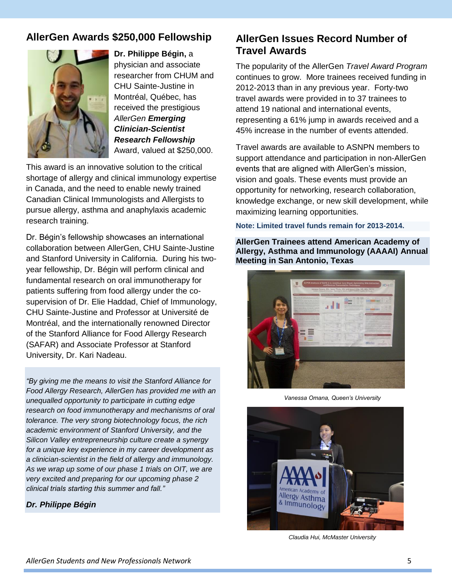# **AllerGen Awards \$250,000 Fellowship**



**Dr. Philippe Bégin,** a physician and associate researcher from CHUM and CHU Sainte-Justine in Montréal, Québec, has received the prestigious *AllerGen Emerging Clinician-Scientist Research Fellowship* Award, valued at \$250,000.

This award is an innovative solution to the critical shortage of allergy and clinical immunology expertise in Canada, and the need to enable newly trained Canadian Clinical Immunologists and Allergists to pursue allergy, asthma and anaphylaxis academic research training.

Dr. Bégin's fellowship showcases an international collaboration between AllerGen, CHU Sainte-Justine and Stanford University in California. During his twoyear fellowship, Dr. Bégin will perform clinical and fundamental research on oral immunotherapy for patients suffering from food allergy under the cosupervision of Dr. Elie Haddad, Chief of Immunology, CHU Sainte-Justine and Professor at Université de Montréal, and the internationally renowned Director of the Stanford Alliance for Food Allergy Research (SAFAR) and Associate Professor at Stanford University, Dr. Kari Nadeau.

*"By giving me the means to visit the Stanford Alliance for Food Allergy Research, AllerGen has provided me with an unequalled opportunity to participate in cutting edge research on food immunotherapy and mechanisms of oral tolerance. The very strong biotechnology focus, the rich academic environment of Stanford University, and the Silicon Valley entrepreneurship culture create a synergy for a unique key experience in my career development as a clinician-scientist in the field of allergy and immunology. As we wrap up some of our phase 1 trials on OIT, we are very excited and preparing for our upcoming phase 2 clinical trials starting this summer and fall."*

#### *Dr. Philippe Bégin*

# **AllerGen Issues Record Number of Travel Awards**

The popularity of the AllerGen *Travel Award Program* continues to grow. More trainees received funding in 2012-2013 than in any previous year. Forty-two travel awards were provided in to 37 trainees to attend 19 national and international events, representing a 61% jump in awards received and a 45% increase in the number of events attended.

Travel awards are available to ASNPN members to support attendance and participation in non-AllerGen events that are aligned with AllerGen's mission, vision and goals. These events must provide an opportunity for networking, research collaboration, knowledge exchange, or new skill development, while maximizing learning opportunities.

**Note: Limited travel funds remain for 2013-2014.**

**AllerGen Trainees attend American Academy of Allergy, Asthma and Immunology (AAAAI) Annual Meeting in San Antonio, Texas**



*Vanessa Omana, Queen's University*



*Claudia Hui, McMaster University*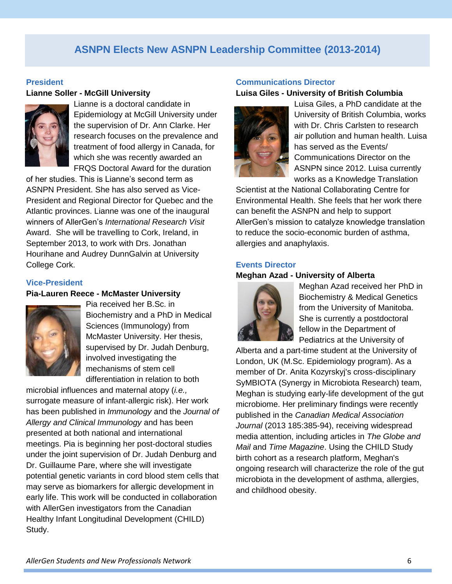# **ASNPN Elects New ASNPN Leadership Committee (2013-2014)**

#### **President**

#### **Lianne Soller - McGill University**



Lianne is a doctoral candidate in Epidemiology at McGill University under the supervision of Dr. Ann Clarke. Her research focuses on the prevalence and treatment of food allergy in Canada, for which she was recently awarded an FRQS Doctoral Award for the duration

of her studies. This is Lianne's second term as ASNPN President. She has also served as Vice-President and Regional Director for Quebec and the Atlantic provinces. Lianne was one of the inaugural winners of AllerGen's *International Research Visit* Award. She will be travelling to Cork, Ireland, in September 2013, to work with Drs. Jonathan Hourihane and Audrey DunnGalvin at University College Cork.

#### **Vice-President**

#### **Pia-Lauren Reece - McMaster University**



Pia received her B.Sc. in Biochemistry and a PhD in Medical Sciences (Immunology) from McMaster University. Her thesis, supervised by Dr. Judah Denburg, involved investigating the mechanisms of stem cell differentiation in relation to both

microbial influences and maternal atopy (*i.e.,* surrogate measure of infant-allergic risk). Her work has been published in *Immunology* and the *Journal of Allergy and Clinical Immunology* and has been presented at both national and international meetings. Pia is beginning her post-doctoral studies under the joint supervision of Dr. Judah Denburg and Dr. Guillaume Pare, where she will investigate potential genetic variants in cord blood stem cells that may serve as biomarkers for allergic development in early life. This work will be conducted in collaboration with AllerGen investigators from the Canadian Healthy Infant Longitudinal Development (CHILD) Study.

#### **Communications Director Luisa Giles - University of British Columbia**



Luisa Giles, a PhD candidate at the University of British Columbia, works with Dr. Chris Carlsten to research air pollution and human health. Luisa has served as the Events/ Communications Director on the ASNPN since 2012. Luisa currently works as a Knowledge Translation

Scientist at the National Collaborating Centre for Environmental Health. She feels that her work there can benefit the ASNPN and help to support AllerGen's mission to catalyze knowledge translation to reduce the socio-economic burden of asthma, allergies and anaphylaxis.

#### **Events Director**

#### **Meghan Azad - University of Alberta**



Meghan Azad received her PhD in Biochemistry & Medical Genetics from the University of Manitoba. She is currently a postdoctoral fellow in the Department of Pediatrics at the University of

Alberta and a part-time student at the University of London, UK (M.Sc. Epidemiology program). As a member of Dr. Anita Kozyrskyj's cross-disciplinary SyMBIOTA (Synergy in Microbiota Research) team, Meghan is studying early-life development of the gut microbiome. Her preliminary findings were recently published in the *Canadian Medical Association Journal* (2013 185:385-94), receiving widespread media attention, including articles in *The Globe and Mail* and *Time Magazine*. Using the CHILD Study birth cohort as a research platform, Meghan's ongoing research will characterize the role of the gut microbiota in the development of asthma, allergies, and childhood obesity.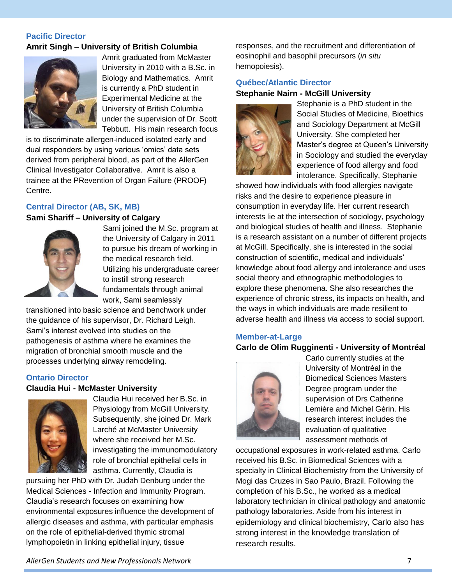#### **Pacific Director Amrit Singh – University of British Columbia**



Amrit graduated from McMaster University in 2010 with a B.Sc. in Biology and Mathematics. Amrit is currently a PhD student in Experimental Medicine at the University of British Columbia under the supervision of Dr. Scott Tebbutt. His main research focus

is to discriminate allergen-induced isolated early and dual responders by using various 'omics' data sets derived from peripheral blood, as part of the AllerGen Clinical Investigator Collaborative. Amrit is also a trainee at the PRevention of Organ Failure (PROOF) Centre.

#### **Central Director (AB, SK, MB)**

#### **Sami Shariff – University of Calgary**



Sami joined the M.Sc. program at the University of Calgary in 2011 to pursue his dream of working in the medical research field. Utilizing his undergraduate career to instill strong research fundamentals through animal work, Sami seamlessly

transitioned into basic science and benchwork under the guidance of his supervisor, Dr. Richard Leigh. Sami's interest evolved into studies on the pathogenesis of asthma where he examines the migration of bronchial smooth muscle and the processes underlying airway remodeling.

#### **Ontario Director**

#### **Claudia Hui - McMaster University**



Claudia Hui received her B.Sc. in Physiology from McGill University. Subsequently, she joined Dr. Mark Larché at McMaster University where she received her M.Sc. investigating the immunomodulatory role of bronchial epithelial cells in asthma. Currently, Claudia is

pursuing her PhD with Dr. Judah Denburg under the Medical Sciences - Infection and Immunity Program. Claudia's research focuses on examining how environmental exposures influence the development of allergic diseases and asthma, with particular emphasis on the role of epithelial-derived thymic stromal lymphopoietin in linking epithelial injury, tissue

responses, and the recruitment and differentiation of eosinophil and basophil precursors (*in situ* hemopoiesis).

#### **Québec/Atlantic Director**

#### **Stephanie Nairn - McGill University**



Stephanie is a PhD student in the Social Studies of Medicine, Bioethics and Sociology Department at McGill University. She completed her Master's degree at Queen's University in Sociology and studied the everyday experience of food allergy and food intolerance. Specifically, Stephanie

showed how individuals with food allergies navigate risks and the desire to experience pleasure in consumption in everyday life. Her current research interests lie at the intersection of sociology, psychology and biological studies of health and illness. Stephanie is a research assistant on a number of different projects at McGill. Specifically, she is interested in the social construction of scientific, medical and individuals' knowledge about food allergy and intolerance and uses social theory and ethnographic methodologies to explore these phenomena. She also researches the experience of chronic stress, its impacts on health, and the ways in which individuals are made resilient to adverse health and illness *via* access to social support.

#### **Member-at-Large**

#### **Carlo de Olim Rugginenti - University of Montréal**



Carlo currently studies at the University of Montréal in the Biomedical Sciences Masters Degree program under the supervision of Drs Catherine Lemière and Michel Gérin. His research interest includes the evaluation of qualitative assessment methods of

occupational exposures in work-related asthma. Carlo received his B.Sc. in Biomedical Sciences with a specialty in Clinical Biochemistry from the University of Mogi das Cruzes in Sao Paulo, Brazil. Following the completion of his B.Sc., he worked as a medical laboratory technician in clinical pathology and anatomic pathology laboratories. Aside from his interest in epidemiology and clinical biochemistry, Carlo also has strong interest in the knowledge translation of research results.

*AllerGen Students and New Professionals Network* 7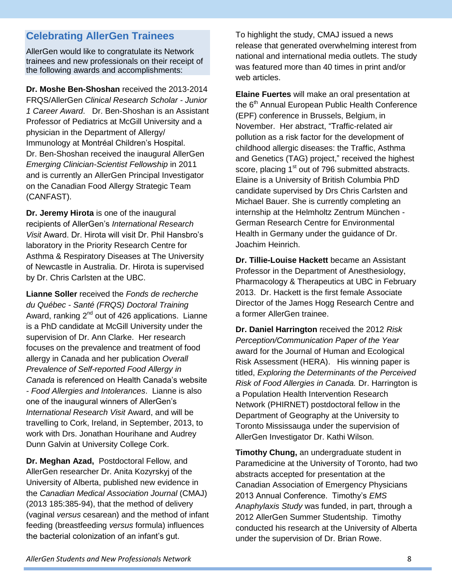# **Celebrating AllerGen Trainees**

AllerGen would like to congratulate its Network trainees and new professionals on their receipt of the following awards and accomplishments:

**Dr. Moshe Ben-Shoshan** received the 2013-2014 FRQS/AllerGen *Clinical Research Scholar - Junior 1 Career Award*. Dr. Ben-Shoshan is an Assistant Professor of Pediatrics at McGill University and a physician in the Department of Allergy/ Immunology at Montréal Children's Hospital. Dr. Ben-Shoshan received the inaugural AllerGen *Emerging Clinician-Scientist Fellowship* in 2011 and is currently an AllerGen Principal Investigator on the Canadian Food Allergy Strategic Team (CANFAST).

**Dr. Jeremy Hirota** is one of the inaugural recipients of AllerGen's *International Research Visit* Award. Dr. Hirota will visit Dr. Phil Hansbro's laboratory in the Priority Research Centre for Asthma & Respiratory Diseases at The University of Newcastle in Australia. Dr. Hirota is supervised by Dr. Chris Carlsten at the UBC.

**Lianne Soller** received the *Fonds de recherche du Québec - Santé (FRQS) Doctoral Training* Award, ranking  $2^{nd}$  out of 426 applications. Lianne is a PhD candidate at McGill University under the supervision of Dr. Ann Clarke. Her research focuses on the prevalence and treatment of food allergy in Canada and her publication *Overall Prevalence of Self-reported Food Allergy in Canada* is referenced on Health Canada's website *- Food Allergies and Intolerances*.Lianne is also one of the inaugural winners of AllerGen's *International Research Visit* Award, and will be travelling to Cork, Ireland, in September, 2013, to work with Drs. Jonathan Hourihane and Audrey Dunn Galvin at University College Cork.

**Dr. Meghan Azad,** Postdoctoral Fellow, and AllerGen researcher Dr. Anita Kozyrskyj of the University of Alberta, published new evidence in the *Canadian Medical Association Journal* (CMAJ) (2013 185:385-94), that the method of delivery (vaginal *versus* cesarean) and the method of infant feeding (breastfeeding *versus* formula) influences the bacterial colonization of an infant's gut.

To highlight the study, CMAJ issued a news release that generated overwhelming interest from national and international media outlets. The study was featured more than 40 times in print and/or web articles.

**Elaine Fuertes** will make an oral presentation at the 6<sup>th</sup> Annual European Public Health Conference (EPF) conference in Brussels, Belgium, in November. Her abstract, "Traffic-related air pollution as a risk factor for the development of childhood allergic diseases: the Traffic, Asthma and Genetics (TAG) project," received the highest score, placing 1<sup>st</sup> out of 796 submitted abstracts. Elaine is a University of British Columbia PhD candidate supervised by Drs Chris Carlsten and Michael Bauer. She is currently completing an internship at the Helmholtz Zentrum München - German Research Centre for Environmental Health in Germany under the guidance of Dr. Joachim Heinrich.

**Dr. Tillie-Louise Hackett** became an Assistant Professor in the Department of Anesthesiology, Pharmacology & Therapeutics at UBC in February 2013. Dr. Hackett is the first female Associate Director of the James Hogg Research Centre and a former AllerGen trainee.

**Dr. Daniel Harrington** received the 2012 *Risk Perception/Communication Paper of the Year* award for the Journal of Human and Ecological Risk Assessment (HERA). His winning paper is titled, *Exploring the Determinants of the Perceived Risk of Food Allergies in Canada.* Dr. Harrington is a Population Health Intervention Research Network (PHIRNET) postdoctoral fellow in the Department of Geography at the University to Toronto Mississauga under the supervision of AllerGen Investigator Dr. Kathi Wilson.

**Timothy Chung,** an undergraduate student in Paramedicine at the University of Toronto, had two abstracts accepted for presentation at the Canadian Association of Emergency Physicians 2013 Annual Conference. Timothy's *EMS Anaphylaxis Study* was funded, in part, through a 2012 AllerGen Summer Studentship. Timothy conducted his research at the University of Alberta under the supervision of Dr. Brian Rowe.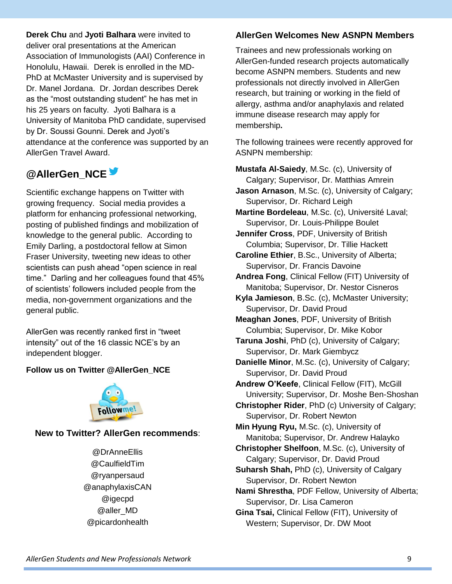**Derek Chu** and **Jyoti Balhara** were invited to deliver oral presentations at the American Association of Immunologists (AAI) Conference in Honolulu, Hawaii. Derek is enrolled in the MD-PhD at McMaster University and is supervised by Dr. Manel Jordana. Dr. Jordan describes Derek as the "most outstanding student" he has met in his 25 years on faculty. Jyoti Balhara is a University of Manitoba PhD candidate, supervised by Dr. Soussi Gounni. Derek and Jyoti's attendance at the conference was supported by an AllerGen Travel Award.

# **@AllerGen\_NCE**

Scientific exchange happens on Twitter with growing frequency. Social media provides a platform for enhancing professional networking, posting of published findings and mobilization of knowledge to the general public. According to Emily Darling, a postdoctoral fellow at Simon Fraser University, tweeting new ideas to other scientists can push ahead "open science in real time." Darling and her colleagues found that 45% of scientists' followers included people from the media, non-government organizations and the general public.

AllerGen was recently ranked first in "tweet intensity" out of the 16 classic NCE's by an independent blogger.

## **Follow us on Twitter @AllerGen\_NCE**



## **New to Twitter? AllerGen recommends**:

@DrAnneEllis @CaulfieldTim @ryanpersaud @anaphylaxisCAN @igecpd @aller\_MD @picardonhealth

## **AllerGen Welcomes New ASNPN Members**

Trainees and new professionals working on AllerGen-funded research projects automatically become ASNPN members. Students and new professionals not directly involved in AllerGen research, but training or working in the field of allergy, asthma and/or anaphylaxis and related immune disease research may apply for membership**.**

The following trainees were recently approved for ASNPN membership:

**Mustafa Al-Saiedy**, M.Sc. (c), University of Calgary; Supervisor, Dr. Matthias Amrein

**Jason Arnason**, M.Sc. (c), University of Calgary; Supervisor, Dr. Richard Leigh

**Martine Bordeleau**, M.Sc. (c), Université Laval; Supervisor, Dr. Louis-Philippe Boulet

**Jennifer Cross**, PDF, University of British Columbia; Supervisor, Dr. Tillie Hackett

**Caroline Ethier**, B.Sc., University of Alberta; Supervisor, Dr. Francis Davoine

**Andrea Fong**, Clinical Fellow (FIT) University of Manitoba; Supervisor, Dr. Nestor Cisneros

**Kyla Jamieson**, B.Sc. (c), McMaster University; Supervisor, Dr. David Proud

**Meaghan Jones**, PDF, University of British Columbia; Supervisor, Dr. Mike Kobor

**Taruna Joshi**, PhD (c), University of Calgary; Supervisor, Dr. Mark Giembycz

**Danielle Minor**, M.Sc. (c), University of Calgary; Supervisor, Dr. David Proud

**Andrew O'Keefe**, Clinical Fellow (FIT), McGill University; Supervisor, Dr. Moshe Ben-Shoshan

**Christopher Rider**, PhD (c) University of Calgary; Supervisor, Dr. Robert Newton

**Min Hyung Ryu,** M.Sc. (c), University of Manitoba; Supervisor, Dr. Andrew Halayko

- **Christopher Shelfoon**, M.Sc. (c), University of Calgary; Supervisor, Dr. David Proud
- **Suharsh Shah,** PhD (c), University of Calgary Supervisor, Dr. Robert Newton

**Nami Shrestha**, PDF Fellow, University of Alberta; Supervisor, Dr. Lisa Cameron

**Gina Tsai,** Clinical Fellow (FIT), University of Western; Supervisor, Dr. DW Moot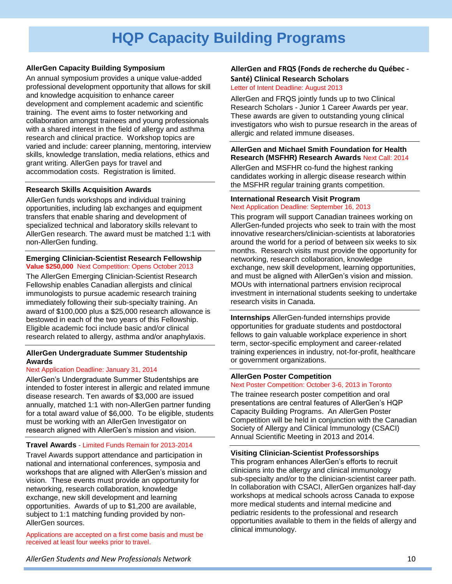# **HQP Capacity Building Programs**

#### **AllerGen Capacity Building Symposium**

An annual symposium provides a unique value-added professional development opportunity that allows for skill and knowledge acquisition to enhance career development and complement academic and scientific training. The event aims to foster networking and collaboration amongst trainees and young professionals with a shared interest in the field of allergy and asthma research and clinical practice. Workshop topics are varied and include: career planning, mentoring, interview skills, knowledge translation, media relations, ethics and grant writing. AllerGen pays for travel and accommodation costs. Registration is limited.

#### **Research Skills Acquisition Awards**

AllerGen funds workshops and individual training opportunities, including lab exchanges and equipment transfers that enable sharing and development of specialized technical and laboratory skills relevant to AllerGen research. The award must be matched 1:1 with non-AllerGen funding.

#### **Emerging Clinician-Scientist Research Fellowship Value \$250,000** Next Competition: Opens October 2013

The AllerGen Emerging Clinician-Scientist Research Fellowship enables Canadian allergists and clinical immunologists to pursue academic research training immediately following their sub-specialty training. An award of \$100,000 plus a \$25,000 research allowance is bestowed in each of the two years of this Fellowship. Eligible academic foci include basic and/or clinical research related to allergy, asthma and/or anaphylaxis.

#### **AllerGen Undergraduate Summer Studentship Awards**

#### Next Application Deadline: January 31, 2014

AllerGen's Undergraduate Summer Studentships are intended to foster interest in allergic and related immune disease research. Ten awards of \$3,000 are issued annually, matched 1:1 with non-AllerGen partner funding for a total award value of \$6,000. To be eligible, students must be working with an AllerGen Investigator on research aligned with AllerGen's mission and vision.

#### **Travel Awards** - Limited Funds Remain for 2013-2014

Travel Awards support attendance and participation in national and international conferences, symposia and workshops that are aligned with AllerGen's mission and vision. These events must provide an opportunity for networking, research collaboration, knowledge exchange, new skill development and learning opportunities. Awards of up to \$1,200 are available, subject to 1:1 matching funding provided by non-AllerGen sources.

Applications are accepted on a first come basis and must be received at least four weeks prior to travel.

#### **AllerGen and FRQS (Fonds de recherche du Québec - Santé) Clinical Research Scholars**

#### Letter of Intent Deadline: August 2013

AllerGen and FRQS jointly funds up to two Clinical Research Scholars - Junior 1 Career Awards per year. These awards are given to outstanding young clinical investigators who wish to pursue research in the areas of allergic and related immune diseases.

#### **AllerGen and Michael Smith Foundation for Health Research (MSFHR) Research Awards** Next Call: 2014

AllerGen and MSFHR co-fund the highest ranking candidates working in allergic disease research within the MSFHR regular training grants competition.

#### **International Research Visit Program** Next Application Deadline: September 16, 2013

This program will support Canadian trainees working on AllerGen-funded projects who seek to train with the most innovative researchers/clinician-scientists at laboratories around the world for a period of between six weeks to six months. Research visits must provide the opportunity for networking, research collaboration, knowledge exchange, new skill development, learning opportunities, and must be aligned with AllerGen's vision and mission. MOUs with international partners envision reciprocal investment in international students seeking to undertake research visits in Canada.

**Internships** AllerGen-funded internships provide opportunities for graduate students and postdoctoral fellows to gain valuable workplace experience in short term, sector-specific employment and career-related training experiences in industry, not-for-profit, healthcare or government organizations.

#### **AllerGen Poster Competition**

#### Next Poster Competition: October 3-6, 2013 in Toronto

The trainee research poster competition and oral presentations are central features of AllerGen's HQP Capacity Building Programs. An AllerGen Poster Competition will be held in conjunction with the Canadian Society of Allergy and Clinical Immunology (CSACI) Annual Scientific Meeting in 2013 and 2014.

#### **Visiting Clinician-Scientist Professorships**

This program enhances AllerGen's efforts to recruit clinicians into the allergy and clinical immunology sub-specialty and/or to the clinician-scientist career path. In collaboration with CSACI, AllerGen organizes half-day workshops at medical schools across Canada to expose more medical students and internal medicine and pediatric residents to the professional and research opportunities available to them in the fields of allergy and clinical immunology.